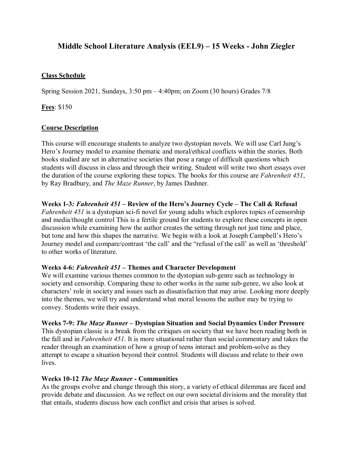# **Middle School Literature Analysis (EEL9) – 15 Weeks - John Ziegler**

## **Class Schedule**

Spring Session 2021, Sundays, 3:50 pm – 4:40pm; on Zoom (30 hours) Grades 7/8

**Fees**: \$150

## **Course Description**

This course will encourage students to analyze two dystopian novels. We will use Carl Jung's Hero's Journey model to examine thematic and moral/ethical conflicts within the stories. Both books studied are set in alternative societies that pose a range of difficult questions which students will discuss in class and through their writing. Student will write two short essays over the duration of the course exploring these topics. The books for this course are *Fahrenheit 451*, by Ray Bradbury, and *The Maze Runner*, by James Dashner.

## **Weeks 1-3***: Fahrenheit 451* **– Review of the Hero's Journey Cycle – The Call & Refusal**

*Fahrenheit 451* is a dystopian sci-fi novel for young adults which explores topics of censorship and media/thought control This is a fertile ground for students to explore these concepts in open discussion while examining how the author creates the setting through not just time and place, but tone and how this shapes the narrative. We begin with a look at Joseph Campbell's Hero's Journey model and compare/contrast 'the call' and the "refusal of the call' as well as 'threshold' to other works of literature.

## **Weeks 4-6:** *Fahrenheit 451* **– Themes and Character Development**

We will examine various themes common to the dystopian sub-genre such as technology in society and censorship. Comparing these to other works in the same sub-genre, we also look at characters' role in society and issues such as dissatisfaction that may arise. Looking more deeply into the themes, we will try and understand what moral lessons the author may be trying to convey. Students write their essays.

## **Weeks 7-9:** *The Maze Runner* **– Dystopian Situation and Social Dynamics Under Pressure**

This dystopian classic is a break from the critiques on society that we have been reading both in the fall and in *Fahrenheit 451*. It is more situational rather than social commentary and takes the reader through an examination of how a group of teens interact and problem-solve as they attempt to escape a situation beyond their control. Students will discuss and relate to their own lives.

## **Weeks 10-12** *The Maze Runner* **- Communities**

As the groups evolve and change through this story, a variety of ethical dilemmas are faced and provide debate and discussion. As we reflect on our own societal divisions and the morality that that entails, students discuss how each conflict and crisis that arises is solved.